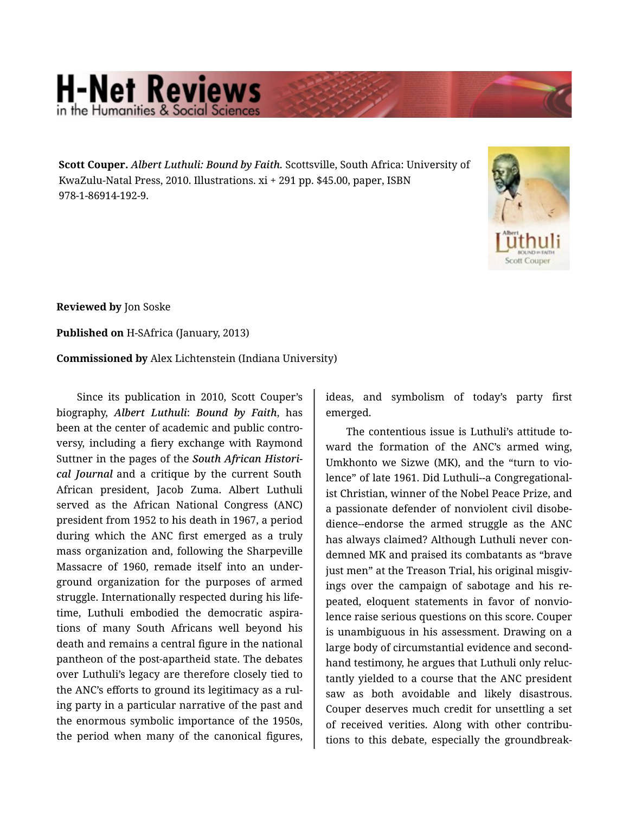## **H-Net Reviews** in the Humanities & Social Scie

**Scott Couper.** *Albert Luthuli: Bound by Faith.* Scottsville, South Africa: University of KwaZulu-Natal Press, 2010. Illustrations. xi + 291 pp. \$45.00, paper, ISBN 978-1-86914-192-9.



**Reviewed by** Jon Soske

**Published on** H-SAfrica (January, 2013)

**Commissioned by** Alex Lichtenstein (Indiana University)

Since its publication in 2010, Scott Couper's biography, *Albert Luthuli*: *Bound by Faith*, has been at the center of academic and public contro‐ versy, including a fiery exchange with Raymond Suttner in the pages of the *South African Histori‐ cal Journal* and a critique by the current South African president, Jacob Zuma. Albert Luthuli served as the African National Congress (ANC) president from 1952 to his death in 1967, a period during which the ANC first emerged as a truly mass organization and, following the Sharpeville Massacre of 1960, remade itself into an under‐ ground organization for the purposes of armed struggle. Internationally respected during his life‐ time, Luthuli embodied the democratic aspira‐ tions of many South Africans well beyond his death and remains a central figure in the national pantheon of the post-apartheid state. The debates over Luthuli's legacy are therefore closely tied to the ANC's efforts to ground its legitimacy as a rul‐ ing party in a particular narrative of the past and the enormous symbolic importance of the 1950s, the period when many of the canonical figures,

ideas, and symbolism of today's party first emerged.

The contentious issue is Luthuli's attitude to‐ ward the formation of the ANC's armed wing, Umkhonto we Sizwe (MK), and the "turn to vio‐ lence" of late 1961. Did Luthuli--a Congregational‐ ist Christian, winner of the Nobel Peace Prize, and a passionate defender of nonviolent civil disobe‐ dience--endorse the armed struggle as the ANC has always claimed? Although Luthuli never con‐ demned MK and praised its combatants as "brave just men" at the Treason Trial, his original misgivings over the campaign of sabotage and his re‐ peated, eloquent statements in favor of nonvio‐ lence raise serious questions on this score. Couper is unambiguous in his assessment. Drawing on a large body of circumstantial evidence and second‐ hand testimony, he argues that Luthuli only reluc‐ tantly yielded to a course that the ANC president saw as both avoidable and likely disastrous. Couper deserves much credit for unsettling a set of received verities. Along with other contribu‐ tions to this debate, especially the groundbreak‐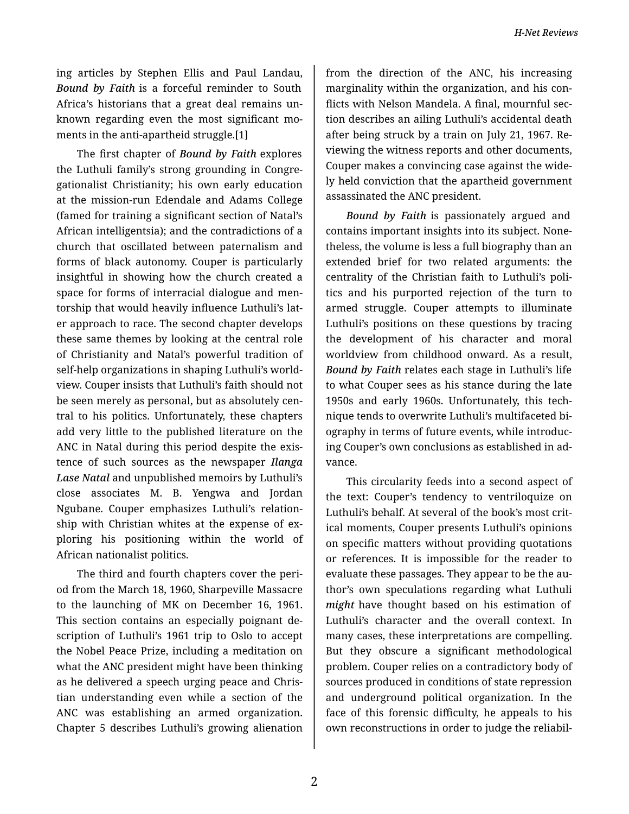*H-Net Reviews*

ing articles by Stephen Ellis and Paul Landau, *Bound by Faith* is a forceful reminder to South Africa's historians that a great deal remains un‐ known regarding even the most significant mo‐ ments in the anti-apartheid struggle.[1]

The first chapter of *Bound by Faith* explores the Luthuli family's strong grounding in Congre‐ gationalist Christianity; his own early education at the mission-run Edendale and Adams College (famed for training a significant section of Natal's African intelligentsia); and the contradictions of a church that oscillated between paternalism and forms of black autonomy. Couper is particularly insightful in showing how the church created a space for forms of interracial dialogue and men‐ torship that would heavily influence Luthuli's lat‐ er approach to race. The second chapter develops these same themes by looking at the central role of Christianity and Natal's powerful tradition of self-help organizations in shaping Luthuli's world‐ view. Couper insists that Luthuli's faith should not be seen merely as personal, but as absolutely cen‐ tral to his politics. Unfortunately, these chapters add very little to the published literature on the ANC in Natal during this period despite the exis‐ tence of such sources as the newspaper *Ilanga Lase Natal* and unpublished memoirs by Luthuli's close associates M. B. Yengwa and Jordan Ngubane. Couper emphasizes Luthuli's relation‐ ship with Christian whites at the expense of ex‐ ploring his positioning within the world of African nationalist politics.

The third and fourth chapters cover the peri‐ od from the March 18, 1960, Sharpeville Massacre to the launching of MK on December 16, 1961. This section contains an especially poignant de‐ scription of Luthuli's 1961 trip to Oslo to accept the Nobel Peace Prize, including a meditation on what the ANC president might have been thinking as he delivered a speech urging peace and Chris‐ tian understanding even while a section of the ANC was establishing an armed organization. Chapter 5 describes Luthuli's growing alienation

from the direction of the ANC, his increasing marginality within the organization, and his con‐ flicts with Nelson Mandela. A final, mournful sec‐ tion describes an ailing Luthuli's accidental death after being struck by a train on July 21, 1967. Re‐ viewing the witness reports and other documents, Couper makes a convincing case against the wide‐ ly held conviction that the apartheid government assassinated the ANC president.

*Bound by Faith* is passionately argued and contains important insights into its subject. None‐ theless, the volume is less a full biography than an extended brief for two related arguments: the centrality of the Christian faith to Luthuli's poli‐ tics and his purported rejection of the turn to armed struggle. Couper attempts to illuminate Luthuli's positions on these questions by tracing the development of his character and moral worldview from childhood onward. As a result, *Bound by Faith* relates each stage in Luthuli's life to what Couper sees as his stance during the late 1950s and early 1960s. Unfortunately, this tech‐ nique tends to overwrite Luthuli's multifaceted bi‐ ography in terms of future events, while introduc‐ ing Couper's own conclusions as established in ad‐ vance.

This circularity feeds into a second aspect of the text: Couper's tendency to ventriloquize on Luthuli's behalf. At several of the book's most crit‐ ical moments, Couper presents Luthuli's opinions on specific matters without providing quotations or references. It is impossible for the reader to evaluate these passages. They appear to be the au‐ thor's own speculations regarding what Luthuli *might* have thought based on his estimation of Luthuli's character and the overall context. In many cases, these interpretations are compelling. But they obscure a significant methodological problem. Couper relies on a contradictory body of sources produced in conditions of state repression and underground political organization. In the face of this forensic difficulty, he appeals to his own reconstructions in order to judge the reliabil‐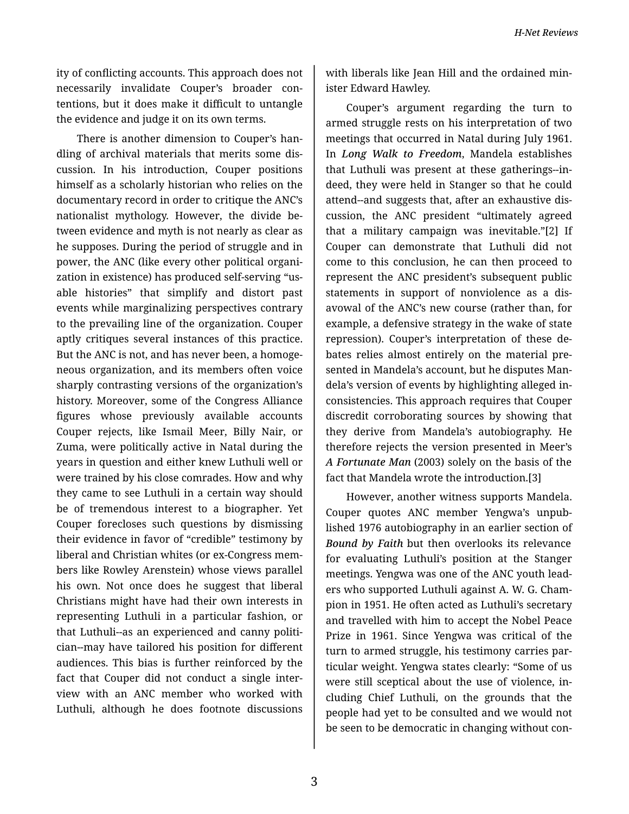ity of conflicting accounts. This approach does not necessarily invalidate Couper's broader con‐ tentions, but it does make it difficult to untangle the evidence and judge it on its own terms.

There is another dimension to Couper's han‐ dling of archival materials that merits some dis‐ cussion. In his introduction, Couper positions himself as a scholarly historian who relies on the documentary record in order to critique the ANC's nationalist mythology. However, the divide be‐ tween evidence and myth is not nearly as clear as he supposes. During the period of struggle and in power, the ANC (like every other political organi‐ zation in existence) has produced self-serving "us‐ able histories" that simplify and distort past events while marginalizing perspectives contrary to the prevailing line of the organization. Couper aptly critiques several instances of this practice. But the ANC is not, and has never been, a homoge‐ neous organization, and its members often voice sharply contrasting versions of the organization's history. Moreover, some of the Congress Alliance figures whose previously available accounts Couper rejects, like Ismail Meer, Billy Nair, or Zuma, were politically active in Natal during the years in question and either knew Luthuli well or were trained by his close comrades. How and why they came to see Luthuli in a certain way should be of tremendous interest to a biographer. Yet Couper forecloses such questions by dismissing their evidence in favor of "credible" testimony by liberal and Christian whites (or ex-Congress mem‐ bers like Rowley Arenstein) whose views parallel his own. Not once does he suggest that liberal Christians might have had their own interests in representing Luthuli in a particular fashion, or that Luthuli--as an experienced and canny politi‐ cian--may have tailored his position for different audiences. This bias is further reinforced by the fact that Couper did not conduct a single inter‐ view with an ANC member who worked with Luthuli, although he does footnote discussions

with liberals like Jean Hill and the ordained min‐ ister Edward Hawley.

Couper's argument regarding the turn to armed struggle rests on his interpretation of two meetings that occurred in Natal during July 1961. In *Long Walk to Freedom*, Mandela establishes that Luthuli was present at these gatherings--in‐ deed, they were held in Stanger so that he could attend--and suggests that, after an exhaustive dis‐ cussion, the ANC president "ultimately agreed that a military campaign was inevitable."[2] If Couper can demonstrate that Luthuli did not come to this conclusion, he can then proceed to represent the ANC president's subsequent public statements in support of nonviolence as a dis‐ avowal of the ANC's new course (rather than, for example, a defensive strategy in the wake of state repression). Couper's interpretation of these de‐ bates relies almost entirely on the material pre‐ sented in Mandela's account, but he disputes Man‐ dela's version of events by highlighting alleged in‐ consistencies. This approach requires that Couper discredit corroborating sources by showing that they derive from Mandela's autobiography. He therefore rejects the version presented in Meer's *A Fortunate Man* (2003) solely on the basis of the fact that Mandela wrote the introduction.[3]

However, another witness supports Mandela. Couper quotes ANC member Yengwa's unpub‐ lished 1976 autobiography in an earlier section of *Bound by Faith* but then overlooks its relevance for evaluating Luthuli's position at the Stanger meetings. Yengwa was one of the ANC youth lead‐ ers who supported Luthuli against A. W. G. Cham‐ pion in 1951. He often acted as Luthuli's secretary and travelled with him to accept the Nobel Peace Prize in 1961. Since Yengwa was critical of the turn to armed struggle, his testimony carries par‐ ticular weight. Yengwa states clearly: "Some of us were still sceptical about the use of violence, in‐ cluding Chief Luthuli, on the grounds that the people had yet to be consulted and we would not be seen to be democratic in changing without con‐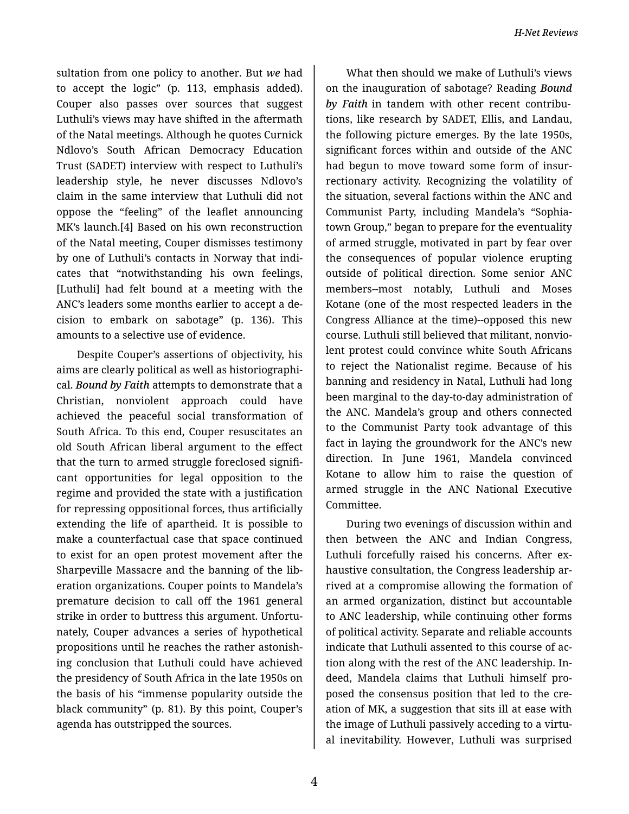sultation from one policy to another. But *we* had to accept the logic" (p. 113, emphasis added). Couper also passes over sources that suggest Luthuli's views may have shifted in the aftermath of the Natal meetings. Although he quotes Curnick Ndlovo's South African Democracy Education Trust (SADET) interview with respect to Luthuli's leadership style, he never discusses Ndlovo's claim in the same interview that Luthuli did not oppose the "feeling" of the leaflet announcing MK's launch.[4] Based on his own reconstruction of the Natal meeting, Couper dismisses testimony by one of Luthuli's contacts in Norway that indi‐ cates that "notwithstanding his own feelings, [Luthuli] had felt bound at a meeting with the ANC's leaders some months earlier to accept a de‐ cision to embark on sabotage" (p. 136). This amounts to a selective use of evidence.

Despite Couper's assertions of objectivity, his aims are clearly political as well as historiographi‐ cal. *Bound by Faith* attempts to demonstrate that a Christian, nonviolent approach could have achieved the peaceful social transformation of South Africa. To this end, Couper resuscitates an old South African liberal argument to the effect that the turn to armed struggle foreclosed signifi‐ cant opportunities for legal opposition to the regime and provided the state with a justification for repressing oppositional forces, thus artificially extending the life of apartheid. It is possible to make a counterfactual case that space continued to exist for an open protest movement after the Sharpeville Massacre and the banning of the lib‐ eration organizations. Couper points to Mandela's premature decision to call off the 1961 general strike in order to buttress this argument. Unfortu‐ nately, Couper advances a series of hypothetical propositions until he reaches the rather astonish‐ ing conclusion that Luthuli could have achieved the presidency of South Africa in the late 1950s on the basis of his "immense popularity outside the black community" (p. 81). By this point, Couper's agenda has outstripped the sources.

What then should we make of Luthuli's views on the inauguration of sabotage? Reading *Bound by Faith* in tandem with other recent contribu‐ tions, like research by SADET, Ellis, and Landau, the following picture emerges. By the late 1950s, significant forces within and outside of the ANC had begun to move toward some form of insur‐ rectionary activity. Recognizing the volatility of the situation, several factions within the ANC and Communist Party, including Mandela's "Sophia‐ town Group," began to prepare for the eventuality of armed struggle, motivated in part by fear over the consequences of popular violence erupting outside of political direction. Some senior ANC members--most notably, Luthuli and Moses Kotane (one of the most respected leaders in the Congress Alliance at the time)--opposed this new course. Luthuli still believed that militant, nonvio‐ lent protest could convince white South Africans to reject the Nationalist regime. Because of his banning and residency in Natal, Luthuli had long been marginal to the day-to-day administration of the ANC. Mandela's group and others connected to the Communist Party took advantage of this fact in laying the groundwork for the ANC's new direction. In June 1961, Mandela convinced Kotane to allow him to raise the question of armed struggle in the ANC National Executive Committee.

During two evenings of discussion within and then between the ANC and Indian Congress, Luthuli forcefully raised his concerns. After ex‐ haustive consultation, the Congress leadership ar‐ rived at a compromise allowing the formation of an armed organization, distinct but accountable to ANC leadership, while continuing other forms of political activity. Separate and reliable accounts indicate that Luthuli assented to this course of ac‐ tion along with the rest of the ANC leadership. In‐ deed, Mandela claims that Luthuli himself pro‐ posed the consensus position that led to the cre‐ ation of MK, a suggestion that sits ill at ease with the image of Luthuli passively acceding to a virtu‐ al inevitability. However, Luthuli was surprised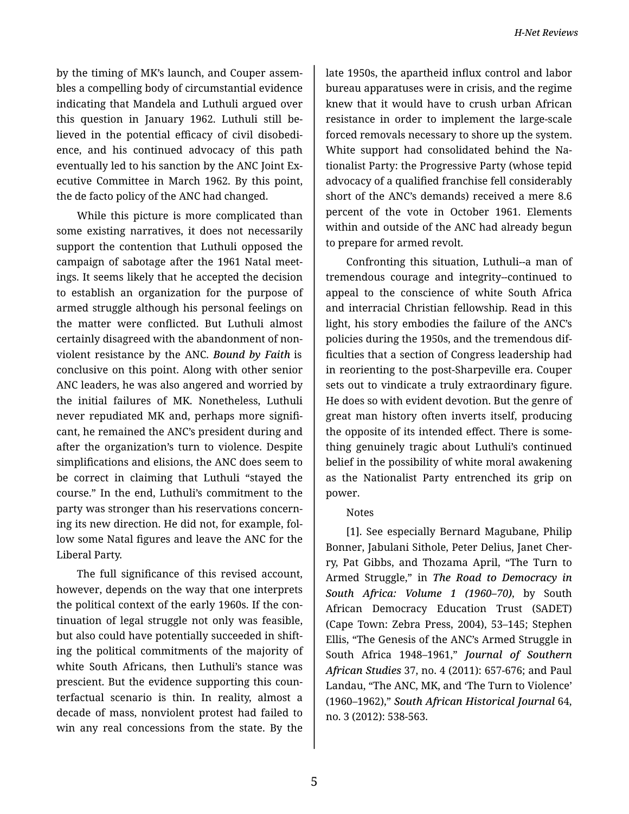by the timing of MK's launch, and Couper assem‐ bles a compelling body of circumstantial evidence indicating that Mandela and Luthuli argued over this question in January 1962. Luthuli still be‐ lieved in the potential efficacy of civil disobedi‐ ence, and his continued advocacy of this path eventually led to his sanction by the ANC Joint Ex‐ ecutive Committee in March 1962. By this point, the de facto policy of the ANC had changed.

While this picture is more complicated than some existing narratives, it does not necessarily support the contention that Luthuli opposed the campaign of sabotage after the 1961 Natal meet‐ ings. It seems likely that he accepted the decision to establish an organization for the purpose of armed struggle although his personal feelings on the matter were conflicted. But Luthuli almost certainly disagreed with the abandonment of non‐ violent resistance by the ANC. *Bound by Faith* is conclusive on this point. Along with other senior ANC leaders, he was also angered and worried by the initial failures of MK. Nonetheless, Luthuli never repudiated MK and, perhaps more signifi‐ cant, he remained the ANC's president during and after the organization's turn to violence. Despite simplifications and elisions, the ANC does seem to be correct in claiming that Luthuli "stayed the course." In the end, Luthuli's commitment to the party was stronger than his reservations concern‐ ing its new direction. He did not, for example, fol‐ low some Natal figures and leave the ANC for the Liberal Party.

The full significance of this revised account, however, depends on the way that one interprets the political context of the early 1960s. If the con‐ tinuation of legal struggle not only was feasible, but also could have potentially succeeded in shift‐ ing the political commitments of the majority of white South Africans, then Luthuli's stance was prescient. But the evidence supporting this coun‐ terfactual scenario is thin. In reality, almost a decade of mass, nonviolent protest had failed to win any real concessions from the state. By the

late 1950s, the apartheid influx control and labor bureau apparatuses were in crisis, and the regime knew that it would have to crush urban African resistance in order to implement the large-scale forced removals necessary to shore up the system. White support had consolidated behind the Na‐ tionalist Party: the Progressive Party (whose tepid advocacy of a qualified franchise fell considerably short of the ANC's demands) received a mere 8.6 percent of the vote in October 1961. Elements within and outside of the ANC had already begun to prepare for armed revolt.

Confronting this situation, Luthuli--a man of tremendous courage and integrity--continued to appeal to the conscience of white South Africa and interracial Christian fellowship. Read in this light, his story embodies the failure of the ANC's policies during the 1950s, and the tremendous dif‐ ficulties that a section of Congress leadership had in reorienting to the post-Sharpeville era. Couper sets out to vindicate a truly extraordinary figure. He does so with evident devotion. But the genre of great man history often inverts itself, producing the opposite of its intended effect. There is some‐ thing genuinely tragic about Luthuli's continued belief in the possibility of white moral awakening as the Nationalist Party entrenched its grip on power.

## Notes

[1]. See especially Bernard Magubane, Philip Bonner, Jabulani Sithole, Peter Delius, Janet Cher‐ ry, Pat Gibbs, and Thozama April, "The Turn to Armed Struggle," in *The Road to Democracy in South Africa: Volume 1 (1960–70)*, by South African Democracy Education Trust (SADET) (Cape Town: Zebra Press, 2004), 53–145; Stephen Ellis, "The Genesis of the ANC's Armed Struggle in South Africa 1948–1961," *Journal of Southern African Studies* 37, no. 4 (2011): 657-676; and Paul Landau, "The ANC, MK, and 'The Turn to Violence' (1960–1962)," *South African Historical Journal* 64, no. 3 (2012): 538-563.